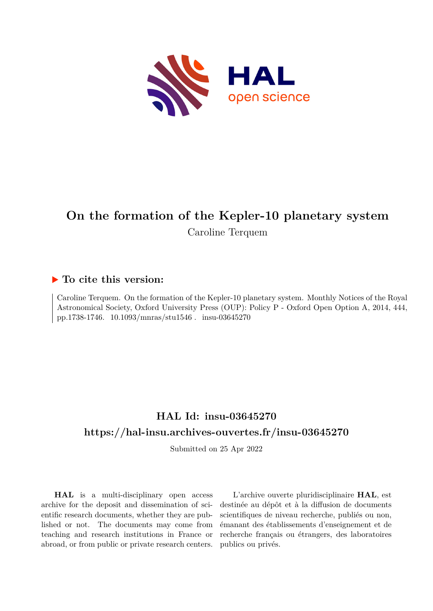

# **On the formation of the Kepler-10 planetary system** Caroline Terquem

## **To cite this version:**

Caroline Terquem. On the formation of the Kepler-10 planetary system. Monthly Notices of the Royal Astronomical Society, Oxford University Press (OUP): Policy P - Oxford Open Option A, 2014, 444, pp.1738-1746.  $10.1093/mnras/stu1546$ . insu-03645270

# **HAL Id: insu-03645270 <https://hal-insu.archives-ouvertes.fr/insu-03645270>**

Submitted on 25 Apr 2022

**HAL** is a multi-disciplinary open access archive for the deposit and dissemination of scientific research documents, whether they are published or not. The documents may come from teaching and research institutions in France or abroad, or from public or private research centers.

L'archive ouverte pluridisciplinaire **HAL**, est destinée au dépôt et à la diffusion de documents scientifiques de niveau recherche, publiés ou non, émanant des établissements d'enseignement et de recherche français ou étrangers, des laboratoires publics ou privés.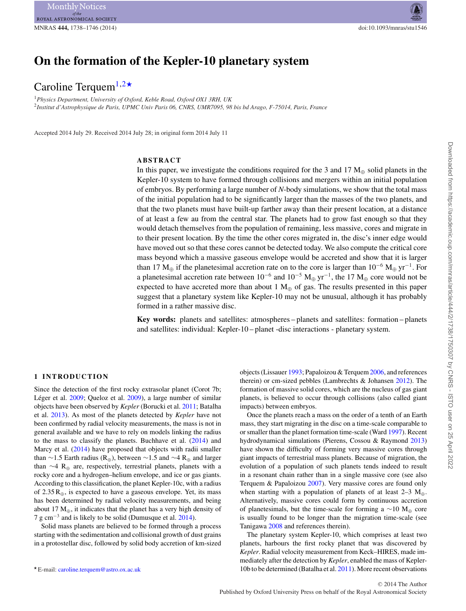## **On the formation of the Kepler-10 planetary system**

### Caroline Terquem<sup>1,2 $\star$ </sup>

<sup>1</sup>*Physics Department, University of Oxford, Keble Road, Oxford OX1 3RH, UK* <sup>2</sup>*Institut d'Astrophysique de Paris, UPMC Univ Paris 06, CNRS, UMR7095, 98 bis bd Arago, F-75014, Paris, France*

Accepted 2014 July 29. Received 2014 July 28; in original form 2014 July 11

#### **ABSTRACT**

In this paper, we investigate the conditions required for the 3 and 17  $M_{\oplus}$  solid planets in the Kepler-10 system to have formed through collisions and mergers within an initial population of embryos. By performing a large number of *N*-body simulations, we show that the total mass of the initial population had to be significantly larger than the masses of the two planets, and that the two planets must have built-up farther away than their present location, at a distance of at least a few au from the central star. The planets had to grow fast enough so that they would detach themselves from the population of remaining, less massive, cores and migrate in to their present location. By the time the other cores migrated in, the disc's inner edge would have moved out so that these cores cannot be detected today. We also compute the critical core mass beyond which a massive gaseous envelope would be accreted and show that it is larger than 17 M⊕ if the planetesimal accretion rate on to the core is larger than  $10^{-6}$  M⊕ yr<sup>-1</sup>. For a planetesimal accretion rate between  $10^{-6}$  and  $10^{-5}$  M<sub>⊕</sub> yr<sup>-1</sup>, the 17 M<sub>⊕</sub> core would not be expected to have accreted more than about 1  $M_{\oplus}$  of gas. The results presented in this paper suggest that a planetary system like Kepler-10 may not be unusual, although it has probably formed in a rather massive disc.

**Key words:** planets and satellites: atmospheres – planets and satellites: formation – planets and satellites: individual: Kepler-10 – planet -disc interactions - planetary system.

#### **1 INTRODUCTION**

Since the detection of the first rocky extrasolar planet (Corot 7b; Léger et al. 2009; Queloz et al. 2009), a large number of similar objects have been observed by *Kepler* (Borucki et al. 2011; Batalha et al. 2013). As most of the planets detected by *Kepler* have not been confirmed by radial velocity measurements, the mass is not in general available and we have to rely on models linking the radius to the mass to classify the planets. Buchhave et al. (2014) and Marcy et al. (2014) have proposed that objects with radii smaller than ∼1.5 Earth radius (R⊕), between ∼1.5 and ∼4 R⊕ and larger than ∼4 R<sup>⊕</sup> are, respectively, terrestrial planets, planets with a rocky core and a hydrogen–helium envelope, and ice or gas giants. According to this classification, the planet Kepler-10c, with a radius of 2.35  $R_{\oplus}$ , is expected to have a gaseous envelope. Yet, its mass has been determined by radial velocity measurements, and being about 17  $M_{\oplus}$ , it indicates that the planet has a very high density of 7 g cm−<sup>3</sup> and is likely to be solid (Dumusque et al. 2014).

Solid mass planets are believed to be formed through a process starting with the sedimentation and collisional growth of dust grains in a protostellar disc, followed by solid body accretion of km-sized

objects (Lissauer 1993; Papaloizou & Terquem 2006, and references therein) or cm-sized pebbles (Lambrechts & Johansen 2012). The formation of massive solid cores, which are the nucleus of gas giant planets, is believed to occur through collisions (also called giant impacts) between embryos.

Once the planets reach a mass on the order of a tenth of an Earth mass, they start migrating in the disc on a time-scale comparable to or smaller than the planet formation time-scale (Ward 1997). Recent hydrodynamical simulations (Pierens, Cossou & Raymond 2013) have shown the difficulty of forming very massive cores through giant impacts of terrestrial mass planets. Because of migration, the evolution of a population of such planets tends indeed to result in a resonant chain rather than in a single massive core (see also Terquem & Papaloizou 2007). Very massive cores are found only when starting with a population of planets of at least 2–3  $M_{\oplus}$ . Alternatively, massive cores could form by continuous accretion of planetesimals, but the time-scale for forming a ∼10  $M_{\oplus}$  core is usually found to be longer than the migration time-scale (see Tanigawa 2008 and references therein).

The planetary system Kepler-10, which comprises at least two planets, harbours the first rocky planet that was discovered by *Kepler*. Radial velocity measurement from Keck–HIRES, made immediately after the detection by *Kepler*, enabled the mass of Kepler-10b to be determined (Batalha et al. 2011). More recent observations

<sup>-</sup> E-mail: [caroline.terquem@astro.ox.ac.uk](mailto:caroline.terquem@astro.ox.ac.uk)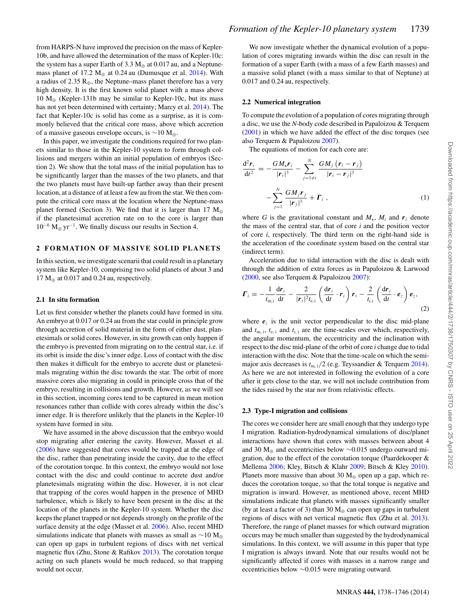from HARPS-N have improved the precision on the mass of Kepler-10b, and have allowed the determination of the mass of Kepler-10c: the system has a super Earth of 3.3  $M_{\oplus}$  at 0.017 au, and a Neptunemass planet of 17.2  $M_{\oplus}$  at 0.24 au (Dumusque et al. 2014). With a radius of 2.35  $R_{\oplus}$ , the Neptune–mass planet therefore has a very high density. It is the first known solid planet with a mass above 10  $M_{\oplus}$  (Kepler-131b may be similar to Kepler-10c, but its mass has not yet been determined with certainty; Marcy et al. 2014). The fact that Kepler-10c is solid has come as a surprise, as it is commonly believed that the critical core mass, above which accretion of a massive gaseous envelope occurs, is ∼10 M⊕.

In this paper, we investigate the conditions required for two planets similar to those in the Kepler-10 system to form through collisions and mergers within an initial population of embryos (Section 2). We show that the total mass of the initial population has to be significantly larger than the masses of the two planets, and that the two planets must have built-up farther away than their present location, at a distance of at least a few au from the star. We then compute the critical core mass at the location where the Neptune-mass planet formed (Section 3). We find that it is larger than 17  $M_{\oplus}$ if the planetesimal accretion rate on to the core is larger than  $10^{-6}$  M<sub>⊕</sub> yr<sup>-1</sup>. We finally discuss our results in Section 4.

#### **2 FORMATION OF MASSIVE SOLID PLANETS**

In this section, we investigate scenarii that could result in a planetary system like Kepler-10, comprising two solid planets of about 3 and 17  $M_{\oplus}$  at 0.017 and 0.24 au, respectively.

#### **2.1 In situ formation**

Let us first consider whether the planets could have formed in situ. An embryo at 0.017 or 0.24 au from the star could in principle grow through accretion of solid material in the form of either dust, planetesimals or solid cores. However, in situ growth can only happen if the embryo is prevented from migrating on to the central star, i.e. if its orbit is inside the disc's inner edge. Loss of contact with the disc then makes it difficult for the embryo to accrete dust or planetesimals migrating within the disc towards the star. The orbit of more massive cores also migrating in could in principle cross that of the embryo, resulting in collisions and growth. However, as we will see in this section, incoming cores tend to be captured in mean motion resonances rather than collide with cores already within the disc's inner edge. It is therefore unlikely that the planets in the Kepler-10 system have formed in situ.

We have assumed in the above discussion that the embryo would stop migrating after entering the cavity. However, Masset et al. (2006) have suggested that cores would be trapped at the edge of the disc, rather than penetrating inside the cavity, due to the effect of the corotation torque. In this context, the embryo would not lose contact with the disc and could continue to accrete dust and/or planetesimals migrating within the disc. However, it is not clear that trapping of the cores would happen in the presence of MHD turbulence, which is likely to have been present in the disc at the location of the planets in the Kepler-10 system. Whether the disc keeps the planet trapped or not depends strongly on the profile of the surface density at the edge (Masset et al. 2006). Also, recent MHD simulations indicate that planets with masses as small as  $\sim$ 10 M<sub>⊕</sub> can open up gaps in turbulent regions of discs with net vertical magnetic flux (Zhu, Stone & Rafikov 2013). The corotation torque acting on such planets would be much reduced, so that trapping would not occur.

We now investigate whether the dynamical evolution of a population of cores migrating inwards within the disc can result in the formation of a super Earth (with a mass of a few Earth masses) and a massive solid planet (with a mass similar to that of Neptune) at 0.017 and 0.24 au, respectively.

#### **2.2 Numerical integration**

To compute the evolution of a population of cores migrating through a disc, we use the *N*-body code described in Papaloizou & Terquem (2001) in which we have added the effect of the disc torques (see also Terquem & Papaloizou 2007).

The equations of motion for each core are:

$$
\frac{\mathrm{d}^2 \mathbf{r}_i}{\mathrm{d}t^2} = -\frac{GM_* \mathbf{r}_i}{|\mathbf{r}_i|^3} - \sum_{j=1 \neq i}^N \frac{GM_j (\mathbf{r}_i - \mathbf{r}_j)}{|\mathbf{r}_i - \mathbf{r}_j|^3}
$$

$$
-\sum_{j=1}^N \frac{GM_j \mathbf{r}_j}{|\mathbf{r}_j|^3} + \mathbf{\Gamma}_i , \qquad (1)
$$

where *G* is the gravitational constant and  $M_{\star}$ ,  $M_i$  and  $r_i$  denote the mass of the central star, that of core *i* and the position vector of core *i*, respectively. The third term on the right-hand side is the acceleration of the coordinate system based on the central star (indirect term).

Acceleration due to tidal interaction with the disc is dealt with through the addition of extra forces as in Papaloizou & Larwood (2000, see also Terquem & Papaloizou 2007):

$$
\boldsymbol{\Gamma}_i = -\frac{1}{t_{\text{m,i}}}\frac{\mathrm{d}\boldsymbol{r}_i}{\mathrm{d}t} - \frac{2}{|\boldsymbol{r}_i|^2 t_{\text{e,i}}}\left(\frac{\mathrm{d}\boldsymbol{r}_i}{\mathrm{d}t}\cdot\boldsymbol{r}_i\right)\boldsymbol{r}_i - \frac{2}{t_{\text{i,i}}}\left(\frac{\mathrm{d}\boldsymbol{r}_i}{\mathrm{d}t}\cdot\boldsymbol{e}_z\right)\boldsymbol{e}_z,\tag{2}
$$

where  $e_z$  is the unit vector perpendicular to the disc mid-plane and  $t_{m,i}$ ,  $t_{e,i}$  and  $t_{i,i}$  are the time-scales over which, respectively, the angular momentum, the eccentricity and the inclination with respect to the disc mid-plane of the orbit of core *i* change due to tidal interaction with the disc. Note that the time-scale on which the semimajor axis decreases is *t*m, i/2 (e.g. Teyssandier & Terquem 2014). As here we are not interested in following the evolution of a core after it gets close to the star, we will not include contribution from the tides raised by the star nor from relativistic effects.

#### **2.3 Type-I migration and collisions**

The cores we consider here are small enough that they undergo type I migration. Radiation-hydrodynamical simulations of disc/planet interactions have shown that cores with masses between about 4 and 30 M<sup>⊕</sup> and eccentricities below ∼0.015 undergo outward migration, due to the effect of the corotation torque (Paardekooper & Mellema 2006; Kley, Bitsch & Klahr 2009; Bitsch & Kley 2010). Planets more massive than about 30  $M_{\oplus}$  open up a gap, which reduces the corotation torque, so that the total torque is negative and migration is inward. However, as mentioned above, recent MHD simulations indicate that planets with masses significantly smaller (by at least a factor of 3) than 30  $M_{\oplus}$  can open up gaps in turbulent regions of discs with net vertical magnetic flux (Zhu et al. 2013). Therefore, the range of planet masses for which outward migration occurs may be much smaller than suggested by the hydrodynamical simulations. In this context, we will assume in this paper that type I migration is always inward. Note that our results would not be significantly affected if cores with masses in a narrow range and eccentricities below ∼0.015 were migrating outward.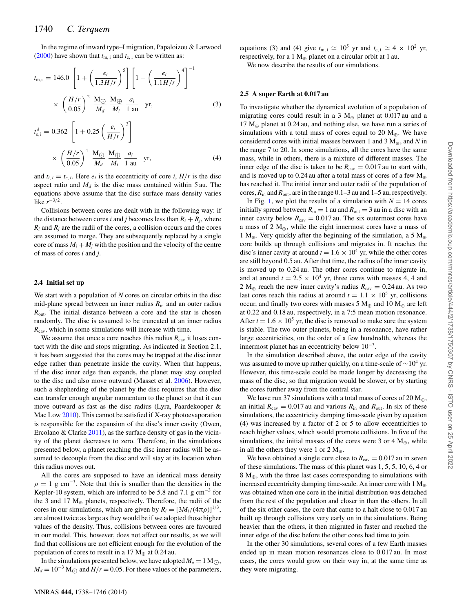In the regime of inward type–I migration, Papaloizou & Larwood (2000) have shown that  $t_{m,i}$  and  $t_{e,i}$  can be written as:

$$
t_{\text{m},i} = 146.0 \left[ 1 + \left( \frac{e_i}{1.3H/r} \right)^5 \right] \left[ 1 - \left( \frac{e_i}{1.1H/r} \right)^4 \right]^{-1}
$$
  
 
$$
\times \left( \frac{H/r}{0.05} \right)^2 \frac{\text{M}_{\bigodot}}{M_d} \frac{\text{M}_{\bigoplus}}{M_i} \frac{a_i}{1 \text{ au}} \text{ yr}, \qquad (3)
$$
  

$$
t_{\text{e},i}^d = 0.362 \left[ 1 + 0.25 \left( \frac{e_i}{H/r} \right)^3 \right]
$$

$$
\begin{bmatrix}\n\downarrow & \downarrow H/r \end{bmatrix}
$$
\n
$$
\times \left(\frac{H/r}{0.05}\right)^4 \frac{\mathbf{M}_{\odot}}{M_d} \frac{\mathbf{M}_{\oplus}}{M_i} \frac{a_i}{1 \text{ au}} \text{ yr},\n\tag{4}
$$

and  $t_{i,i} = t_{e,i}$ . Here  $e_i$  is the eccentricity of core *i*,  $H/r$  is the disc aspect ratio and  $M_d$  is the disc mass contained within 5 au. The equations above assume that the disc surface mass density varies like *r*−3/2.

Collisions between cores are dealt with in the following way: if the distance between cores *i* and *j* becomes less than  $R_i + R_j$ , where  $R_i$  and  $R_i$  are the radii of the cores, a collision occurs and the cores are assumed to merge. They are subsequently replaced by a single core of mass  $M_i + M_j$  with the position and the velocity of the centre of mass of cores *i* and *j*.

#### **2.4 Initial set up**

We start with a population of *N* cores on circular orbits in the disc mid-plane spread between an inner radius *R*in and an outer radius *R*out. The initial distance between a core and the star is chosen randomly. The disc is assumed to be truncated at an inner radius *R*cav, which in some simulations will increase with time.

We assume that once a core reaches this radius  $R_{\text{cav}}$  it loses contact with the disc and stops migrating. As indicated in Section 2.1, it has been suggested that the cores may be trapped at the disc inner edge rather than penetrate inside the cavity. When that happens, if the disc inner edge then expands, the planet may stay coupled to the disc and also move outward (Masset et al. 2006). However, such a shepherding of the planet by the disc requires that the disc can transfer enough angular momentum to the planet so that it can move outward as fast as the disc radius (Lyra, Paardekooper & Mac Low 2010). This cannot be satisfied if X-ray photoevaporation is responsible for the expansion of the disc's inner cavity (Owen, Ercolano & Clarke 2011), as the surface density of gas in the vicinity of the planet decreases to zero. Therefore, in the simulations presented below, a planet reaching the disc inner radius will be assumed to decouple from the disc and will stay at its location when this radius moves out.

All the cores are supposed to have an identical mass density  $\rho = 1$  g cm<sup>-3</sup>. Note that this is smaller than the densities in the Kepler-10 system, which are inferred to be 5.8 and 7.1 g  $cm^{-3}$  for the 3 and 17  $M_{\oplus}$  planets, respectively. Therefore, the radii of the cores in our simulations, which are given by  $R_i = [3M_i/(4\pi\rho)]^{1/3}$ , are almost twice as large as they would be if we adopted those higher values of the density. Thus, collisions between cores are favoured in our model. This, however, does not affect our results, as we will find that collisions are not efficient enough for the evolution of the population of cores to result in a 17  $M_{\oplus}$  at 0.24 au.

In the simulations presented below, we have adopted  $M_{\star} = 1$  M<sub>O</sub>,  $M_d = 10^{-3}$  M<sub> $\odot$ </sub> and *H*/*r* = 0.05. For these values of the parameters,

equations (3) and (4) give  $t_{m,i} \simeq 10^5$  yr and  $t_{e,i} \simeq 4 \times 10^2$  yr, respectively, for a 1 M<sup>⊕</sup> planet on a circular orbit at 1 au.

We now describe the results of our simulations.

#### **2.5 A super Earth at 0.017 au**

To investigate whether the dynamical evolution of a population of migrating cores could result in a 3  $M_{\oplus}$  planet at 0.017 au and a 17 M<sup>⊕</sup> planet at 0.24 au, and nothing else, we have run a series of simulations with a total mass of cores equal to 20  $M_{\oplus}$ . We have considered cores with initial masses between 1 and 3 M⊕, and *N* in the range 7 to 20. In some simulations, all the cores have the same mass, while in others, there is a mixture of different masses. The inner edge of the disc is taken to be  $R_{\text{cav}} = 0.017$  au to start with, and is moved up to 0.24 au after a total mass of cores of a few  $M_{\oplus}$ has reached it. The initial inner and outer radii of the population of cores,  $R_{\text{in}}$  and  $R_{\text{out}}$ , are in the range 0.1–3 au and 1–5 au, respectively.

In Fig. 1, we plot the results of a simulation with  $N = 14$  cores initially spread between  $R_{\text{in}} = 1$  au and  $R_{\text{out}} = 3$  au in a disc with an inner cavity below  $R_{\text{cav}} = 0.017$  au. The six outermost cores have a mass of 2  $M_{\oplus}$ , while the eight innermost cores have a mass of 1 M<sub>⊕</sub>. Very quickly after the beginning of the simulation, a 5 M<sub>⊕</sub> core builds up through collisions and migrates in. It reaches the disc's inner cavity at around  $t = 1.6 \times 10^4$  yr, while the other cores are still beyond 0.5 au. After that time, the radius of the inner cavity is moved up to 0.24 au. The other cores continue to migrate in, and at around  $t = 2.5 \times 10^4$  yr, three cores with masses 4, 4 and 2 M<sub>⊕</sub> reach the new inner cavity's radius  $R_{\text{cav}} = 0.24$  au. As two last cores reach this radius at around  $t = 1.1 \times 10^5$  yr, collisions occur, and finally two cores with masses 5  $M_{\oplus}$  and 10  $M_{\oplus}$  are left at 0.22 and 0.18 au, respectively, in a 7:5 mean motion resonance. After  $t = 1.6 \times 10^5$  yr, the disc is removed to make sure the system is stable. The two outer planets, being in a resonance, have rather large eccentricities, on the order of a few hundredth, whereas the innermost planet has an eccentricity below  $10^{-3}$ .

In the simulation described above, the outer edge of the cavity was assumed to move up rather quickly, on a time-scale of  $\sim$ 10<sup>4</sup> yr. However, this time-scale could be made longer by decreasing the mass of the disc, so that migration would be slower, or by starting the cores further away from the central star.

We have run 37 simulations with a total mass of cores of 20  $M_{\oplus}$ , an initial  $R_{\text{cav}} = 0.017$  au and various  $R_{\text{in}}$  and  $R_{\text{out}}$ . In six of these simulations, the eccentricity damping time-scale given by equation (4) was increased by a factor of 2 or 5 to allow eccentricities to reach higher values, which would promote collisions. In five of the simulations, the initial masses of the cores were 3 or 4  $M_{\oplus}$ , while in all the others they were 1 or 2  $M_{\oplus}$ .

We have obtained a single core close to  $R_{\text{cav}} = 0.017$  au in seven of these simulations. The mass of this planet was 1, 5, 5, 10, 6, 4 or 8  $M_{\oplus}$ , with the three last cases corresponding to simulations with increased eccentricity damping time-scale. An inner core with  $1 M_{\oplus}$ was obtained when one core in the initial distribution was detached from the rest of the population and closer in than the others. In all of the six other cases, the core that came to a halt close to 0.017 au built up through collisions very early on in the simulations. Being heavier than the others, it then migrated in faster and reached the inner edge of the disc before the other cores had time to join.

In the other 30 simulations, several cores of a few Earth masses ended up in mean motion resonances close to 0.017 au. In most cases, the cores would grow on their way in, at the same time as they were migrating.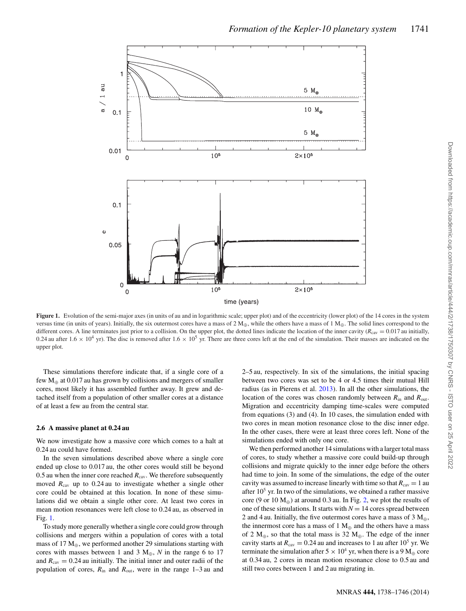

**Figure 1.** Evolution of the semi-major axes (in units of au and in logarithmic scale; upper plot) and of the eccentricity (lower plot) of the 14 cores in the system versus time (in units of years). Initially, the six outermost cores have a mass of 2  $M_{\oplus}$ , while the others have a mass of 1  $M_{\oplus}$ . The solid lines correspond to the different cores. A line terminates just prior to a collision. On the upper plot, the dotted lines indicate the location of the inner cavity ( $R_{\text{cav}} = 0.017$  au initially, 0.24 au after 1.6  $\times$  10<sup>4</sup> yr). The disc is removed after 1.6  $\times$  10<sup>5</sup> yr. There are three cores left at the end of the simulation. Their masses are indicated on the upper plot.

These simulations therefore indicate that, if a single core of a few  $M_{\oplus}$  at 0.017 au has grown by collisions and mergers of smaller cores, most likely it has assembled further away. It grew and detached itself from a population of other smaller cores at a distance of at least a few au from the central star.

#### **2.6 A massive planet at 0.24 au**

We now investigate how a massive core which comes to a halt at 0.24 au could have formed.

In the seven simulations described above where a single core ended up close to 0.017 au, the other cores would still be beyond 0.5 au when the inner core reached  $R_{\text{cav}}$ . We therefore subsequently moved  $R_{\text{cav}}$  up to 0.24 au to investigate whether a single other core could be obtained at this location. In none of these simulations did we obtain a single other core. At least two cores in mean motion resonances were left close to 0.24 au, as observed in Fig. 1.

To study more generally whether a single core could grow through collisions and mergers within a population of cores with a total mass of 17  $M_{\oplus}$ , we performed another 29 simulations starting with cores with masses between 1 and 3 M⊕, *N* in the range 6 to 17 and  $R_{\text{cav}} = 0.24$  au initially. The initial inner and outer radii of the population of cores,  $R_{\text{in}}$  and  $R_{\text{out}}$ , were in the range 1–3 au and 2–5 au, respectively. In six of the simulations, the initial spacing between two cores was set to be 4 or 4.5 times their mutual Hill radius (as in Pierens et al. 2013). In all the other simulations, the location of the cores was chosen randomly between  $R_{\text{in}}$  and  $R_{\text{out}}$ . Migration and eccentricity damping time-scales were computed from equations (3) and (4). In 10 cases, the simulation ended with two cores in mean motion resonance close to the disc inner edge. In the other cases, there were at least three cores left. None of the simulations ended with only one core.

We then performed another 14 simulations with a larger total mass of cores, to study whether a massive core could build-up through collisions and migrate quickly to the inner edge before the others had time to join. In some of the simulations, the edge of the outer cavity was assumed to increase linearly with time so that  $R_{\text{cav}} = 1$  au after  $10<sup>5</sup>$  yr. In two of the simulations, we obtained a rather massive core (9 or 10  $M_{\oplus}$ ) at around 0.3 au. In Fig. 2, we plot the results of one of these simulations. It starts with  $N = 14$  cores spread between 2 and 4 au. Initially, the five outermost cores have a mass of 3  $M_{\oplus}$ , the innermost core has a mass of 1  $M_{\oplus}$  and the others have a mass of 2  $M_{\oplus}$ , so that the total mass is 32  $M_{\oplus}$ . The edge of the inner cavity starts at  $R_{\text{cav}} = 0.24$  au and increases to 1 au after 10<sup>5</sup> yr. We terminate the simulation after  $5 \times 10^4$  yr, when there is a 9 M<sub>⊕</sub> core at 0.34 au, 2 cores in mean motion resonance close to 0.5 au and still two cores between 1 and 2 au migrating in.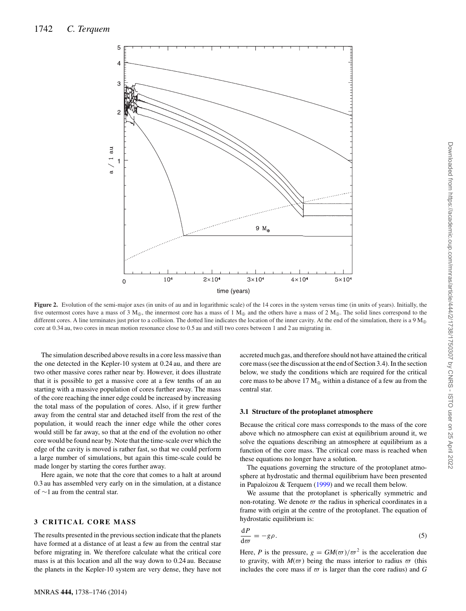

**Figure 2.** Evolution of the semi-major axes (in units of au and in logarithmic scale) of the 14 cores in the system versus time (in units of years). Initially, the five outermost cores have a mass of 3  $M_{\oplus}$ , the innermost core has a mass of 1  $M_{\oplus}$  and the others have a mass of 2  $M_{\oplus}$ . The solid lines correspond to the different cores. A line terminates just prior to a collision. The dotted line indicates the location of the inner cavity. At the end of the simulation, there is a 9  $M_{\oplus}$ core at 0.34 au, two cores in mean motion resonance close to 0.5 au and still two cores between 1 and 2 au migrating in.

The simulation described above results in a core less massive than the one detected in the Kepler-10 system at 0.24 au, and there are two other massive cores rather near by. However, it does illustrate that it is possible to get a massive core at a few tenths of an au starting with a massive population of cores further away. The mass of the core reaching the inner edge could be increased by increasing the total mass of the population of cores. Also, if it grew further away from the central star and detached itself from the rest of the population, it would reach the inner edge while the other cores would still be far away, so that at the end of the evolution no other core would be found near by. Note that the time-scale over which the edge of the cavity is moved is rather fast, so that we could perform a large number of simulations, but again this time-scale could be made longer by starting the cores further away.

Here again, we note that the core that comes to a halt at around 0.3 au has assembled very early on in the simulation, at a distance of ∼1 au from the central star.

#### **3 CRITICAL CORE MASS**

The results presented in the previous section indicate that the planets have formed at a distance of at least a few au from the central star before migrating in. We therefore calculate what the critical core mass is at this location and all the way down to 0.24 au. Because the planets in the Kepler-10 system are very dense, they have not accreted much gas, and therefore should not have attained the critical core mass (see the discussion at the end of Section 3.4). In the section below, we study the conditions which are required for the critical core mass to be above 17  $M_{\oplus}$  within a distance of a few au from the central star.

#### **3.1 Structure of the protoplanet atmosphere**

Because the critical core mass corresponds to the mass of the core above which no atmosphere can exist at equilibrium around it, we solve the equations describing an atmosphere at equilibrium as a function of the core mass. The critical core mass is reached when these equations no longer have a solution.

The equations governing the structure of the protoplanet atmosphere at hydrostatic and thermal equilibrium have been presented in Papaloizou & Terquem (1999) and we recall them below.

We assume that the protoplanet is spherically symmetric and non-rotating. We denote  $\varpi$  the radius in spherical coordinates in a frame with origin at the centre of the protoplanet. The equation of hydrostatic equilibrium is:

$$
\frac{\mathrm{d}P}{\mathrm{d}\varpi} = -g\rho. \tag{5}
$$

Here, *P* is the pressure,  $g = GM(\omega)/\omega^2$  is the acceleration due to gravity, with  $M(\varpi)$  being the mass interior to radius  $\varpi$  (this includes the core mass if  $\varpi$  is larger than the core radius) and *G*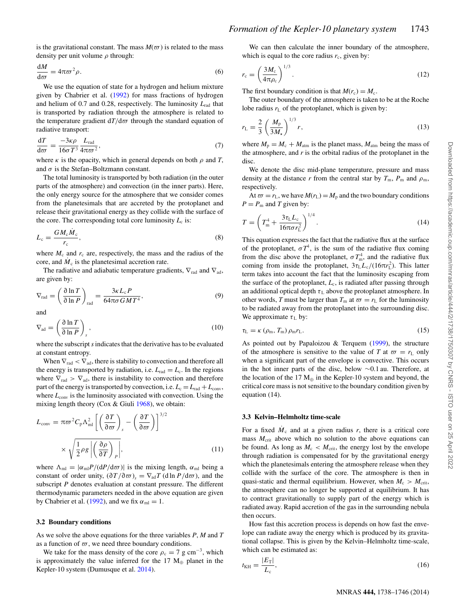is the gravitational constant. The mass  $M(\varpi)$  is related to the mass density per unit volume  $\rho$  through:

$$
\frac{dM}{d\omega} = 4\pi\omega^2 \rho.
$$
\n(6)

We use the equation of state for a hydrogen and helium mixture given by Chabrier et al. (1992) for mass fractions of hydrogen and helium of 0.7 and 0.28, respectively. The luminosity  $L_{rad}$  that is transported by radiation through the atmosphere is related to the temperature gradient  $dT/d\omega$  through the standard equation of radiative transport:

$$
\frac{\mathrm{d}T}{\mathrm{d}\varpi} = \frac{-3\kappa\rho}{16\sigma T^3} \frac{L_{\text{rad}}}{4\pi\varpi^2},\tag{7}
$$

where  $\kappa$  is the opacity, which in general depends on both  $\rho$  and *T*, and  $\sigma$  is the Stefan–Boltzmann constant.

The total luminosity is transported by both radiation (in the outer parts of the atmosphere) and convection (in the inner parts). Here, the only energy source for the atmosphere that we consider comes from the planetesimals that are accreted by the protoplanet and release their gravitational energy as they collide with the surface of the core. The corresponding total core luminosity  $L_c$  is:

$$
L_{\rm c} = \frac{GM_{\rm c}\dot{M}_{\rm c}}{r_{\rm c}},\tag{8}
$$

where  $M_c$  and  $r_c$  are, respectively, the mass and the radius of the core, and  $M_c$  is the planetesimal accretion rate.

The radiative and adiabatic temperature gradients,  $\nabla_{rad}$  and  $\nabla_{ad}$ , are given by:

$$
\nabla_{\text{rad}} = \left(\frac{\partial \ln T}{\partial \ln P}\right)_{\text{rad}} = \frac{3\kappa L_c P}{64\pi \sigma G M T^4},\tag{9}
$$

and

$$
\nabla_{\text{ad}} = \left(\frac{\partial \ln T}{\partial \ln P}\right)_{s},\tag{10}
$$

where the subscript *s* indicates that the derivative has to be evaluated at constant entropy.

When  $\nabla_{rad} < \nabla_{ad}$ , there is stability to convection and therefore all the energy is transported by radiation, i.e.  $L_{rad} = L_c$ . In the regions where  $\nabla_{\text{rad}} > \nabla_{\text{ad}}$ , there is instability to convection and therefore part of the energy is transported by convection, i.e.  $L_c = L_{rad} + L_{conv}$ , where  $L_{\text{conv}}$  is the luminosity associated with convection. Using the mixing length theory (Cox & Giuli 1968), we obtain:

$$
L_{\text{conv}} = \pi \omega^2 C_p \Lambda_{\text{ml}}^2 \left[ \left( \frac{\partial T}{\partial \omega} \right)_s - \left( \frac{\partial T}{\partial \omega} \right) \right]^{3/2}
$$

$$
\times \sqrt{\frac{1}{2} \rho g \left| \left( \frac{\partial \rho}{\partial T} \right)_P \right|},\tag{11}
$$

where  $\Lambda_{\rm ml} = |\alpha_{\rm ml}P/(dP/d\varpi)|$  is the mixing length,  $\alpha_{\rm ml}$  being a constant of order unity,  $(\partial T/\partial \varpi)_s = \nabla_{\rm ad} T$  (d ln  $P/\rm{d}\varpi$ ), and the subscript *P* denotes evaluation at constant pressure. The different thermodynamic parameters needed in the above equation are given by Chabrier et al. (1992), and we fix  $\alpha_{ml} = 1$ .

#### **3.2 Boundary conditions**

As we solve the above equations for the three variables *P*, *M* and *T* as a function of  $\varpi$ , we need three boundary conditions.

We take for the mass density of the core  $\rho_c = 7$  g cm<sup>-3</sup>, which is approximately the value inferred for the 17  $M_{\oplus}$  planet in the Kepler-10 system (Dumusque et al. 2014).

We can then calculate the inner boundary of the atmosphere, which is equal to the core radius  $r_c$ , given by:

$$
r_{\rm c} = \left(\frac{3M_{\rm c}}{4\pi\rho_{\rm c}}\right)^{1/3}.\tag{12}
$$

The first boundary condition is that  $M(r_c) = M_c$ .

The outer boundary of the atmosphere is taken to be at the Roche lobe radius  $r<sub>L</sub>$  of the protoplanet, which is given by:

$$
r_{\rm L} = \frac{2}{3} \left( \frac{M_{\rm p}}{3M_{\star}} \right)^{1/3} r,\tag{13}
$$

where  $M_p = M_c + M_{atm}$  is the planet mass,  $M_{atm}$  being the mass of the atmosphere, and  $r$  is the orbital radius of the protoplanet in the disc.

We denote the disc mid-plane temperature, pressure and mass density at the distance *r* from the central star by  $T_m$ ,  $P_m$  and  $\rho_m$ , respectively.

At  $\omega = r_L$ , we have  $M(r_L) = M_p$  and the two boundary conditions  $P = P_m$  and *T* given by:

$$
T = \left(T_{\rm m}^4 + \frac{3\tau_{\rm L}L_{\rm c}}{16\pi\sigma r_{\rm L}^2}\right)^{1/4}.
$$
 (14)

This equation expresses the fact that the radiative flux at the surface of the protoplanet,  $\sigma T^4$ , is the sum of the radiative flux coming from the disc above the protoplanet,  $\sigma T_{\text{m}}^4$ , and the radiative flux coming from inside the protoplanet,  $3\tau_{\rm L}L_{\rm c}/(16\pi r_{\rm L}^2)$ . This latter term takes into account the fact that the luminosity escaping from the surface of the protoplanet,  $L_c$ , is radiated after passing through an additional optical depth  $\tau_L$  above the protoplanet atmosphere. In other words, *T* must be larger than  $T_m$  at  $\varpi = r_L$  for the luminosity to be radiated away from the protoplanet into the surrounding disc. We approximate  $\tau_L$  by:

$$
\tau_{\rm L} = \kappa \left( \rho_{\rm m}, T_{\rm m} \right) \rho_{\rm m} r_{\rm L}.
$$
\n(15)

As pointed out by Papaloizou & Terquem (1999), the structure of the atmosphere is sensitive to the value of *T* at  $\overline{\omega} = r_L$  only when a significant part of the envelope is convective. This occurs in the hot inner parts of the disc, below ∼0.1 au. Therefore, at the location of the 17  $M_{\oplus}$  in the Kepler-10 system and beyond, the critical core mass is not sensitive to the boundary condition given by equation (14).

#### **3.3 Kelvin–Helmholtz time-scale**

For a fixed  $\dot{M}_c$  and at a given radius *r*, there is a critical core mass  $M<sub>crit</sub>$  above which no solution to the above equations can be found. As long as  $M_c < M_{\text{crit}}$ , the energy lost by the envelope through radiation is compensated for by the gravitational energy which the planetesimals entering the atmosphere release when they collide with the surface of the core. The atmosphere is then in quasi-static and thermal equilibrium. However, when  $M_c > M_{\text{crit}}$ , the atmosphere can no longer be supported at equilibrium. It has to contract gravitationally to supply part of the energy which is radiated away. Rapid accretion of the gas in the surrounding nebula then occurs.

How fast this accretion process is depends on how fast the envelope can radiate away the energy which is produced by its gravitational collapse. This is given by the Kelvin–Helmholtz time-scale, which can be estimated as:

$$
t_{\rm KH} = \frac{|E_{\rm T}|}{L_{\rm c}},\tag{16}
$$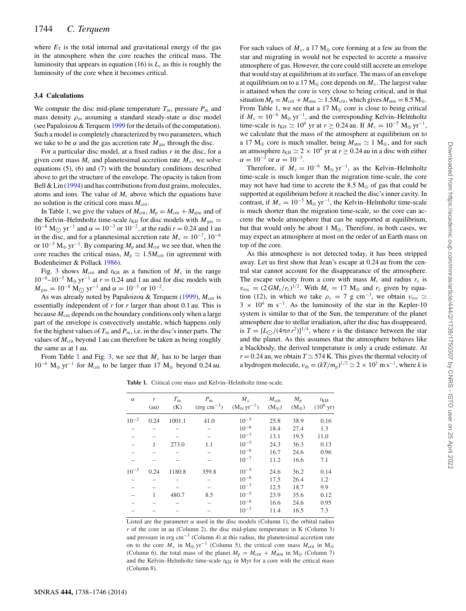where  $E_T$  is the total internal and gravitational energy of the gas in the atmosphere when the core reaches the critical mass. The luminosity that appears in equation (16) is  $L_c$  as this is roughly the luminosity of the core when it becomes critical.

#### **3.4 Calculations**

We compute the disc mid-plane temperature  $T_m$ , pressure  $P_m$  and mass density  $\rho_m$  assuming a standard steady-state  $\alpha$  disc model (see Papaloizou & Terquem 1999 for the details of the computation). Such a model is completely characterized by two parameters, which we take to be  $\alpha$  and the gas accretion rate  $M_{\text{gas}}$  through the disc.

For a particular disc model, at a fixed radius *r* in the disc, for a given core mass  $M_c$  and planetesimal accretion rate  $M_c$ , we solve equations (5), (6) and (7) with the boundary conditions described above to get the structure of the envelope. The opacity is taken from Bell  $&$  Lin (1994) and has contributions from dust grains, molecules, atoms and ions. The value of  $M_c$  above which the equations have no solution is the critical core mass  $M_{\rm crit}$ .

In Table 1, we give the values of  $M_{\text{crit}}$ ,  $M_{\text{p}} = M_{\text{crit}} + M_{\text{atm}}$  and of the Kelvin–Helmholtz time-scale  $t_{KH}$  for disc models with  $\dot{M}_{gas}$  =  $10^{-8}$  M<sub> $\odot$ </sub> yr<sup>-1</sup> and  $\alpha = 10^{-3}$  or  $10^{-2}$ , at the radii  $r = 0.24$  and 1 au in the disc, and for a planetesimal accretion rate  $\dot{M}_c = 10^{-7}$ ,  $10^{-6}$ or 10<sup>-5</sup> M<sub>⊕</sub> yr<sup>-1</sup>. By comparing  $M_p$  and  $M_{crit}$  we see that, when the core reaches the critical mass,  $M_p \simeq 1.5 M_{\text{crit}}$  (in agreement with Bodenheimer & Pollack 1986).

Fig. 3 shows  $M_{\text{crit}}$  and  $t_{\text{KH}}$  as a function of  $\dot{M}_{\text{c}}$  in the range  $10^{-6}$ –10<sup>-5</sup> M<sub>⊕</sub> yr<sup>-1</sup> at *r* = 0.24 and 1 au and for disc models with  $\dot{M}_{\rm gas} = 10^{-8} \,\rm M_{\odot} \, yr^{-1}$  and  $\alpha = 10^{-3} \text{ or } 10^{-2}$ .

As was already noted by Papaloizou & Terquem (1999),  $M_{\text{crit}}$  is essentially independent of *r* for *r* larger than about 0.1 au. This is because  $M_{\text{crit}}$  depends on the boundary conditions only when a large part of the envelope is convectively unstable, which happens only for the highest values of  $T_m$  and  $P_m$ , i.e. in the disc's inner parts. The values of  $M_{\text{crit}}$  beyond 1 au can therefore be taken as being roughly the same as at 1 au.

From Table 1 and Fig. 3, we see that  $\dot{M}_c$  has to be larger than 10<sup>-6</sup> M<sub>⊕</sub> yr<sup>-1</sup> for *M*<sub>crit</sub> to be larger than 17 M<sub>⊕</sub> beyond 0.24 au.

For such values of  $M_c$ , a 17  $M_\oplus$  core forming at a few au from the star and migrating in would not be expected to accrete a massive atmosphere of gas. However, the core could still accrete an envelope that would stay at equilibrium at its surface. The mass of an envelope at equilibrium on to a 17  $M_{\oplus}$  core depends on  $M_c$ . The largest value is attained when the core is very close to being critical, and in that situation  $M_p = M_{\text{crit}} + M_{\text{atm}} \simeq 1.5 M_{\text{crit}}$ , which gives  $M_{\text{atm}} = 8.5 M_{\oplus}$ . From Table 1, we see that a 17  $M_{\oplus}$  core is close to being critical if  $\dot{M}_c = 10^{-6}$  M<sub>⊕</sub> yr<sup>-1</sup>, and the corresponding Kelvin–Helmholtz time-scale is  $t_{\text{KH}} \simeq 10^6$  yr at  $r \geq 0.24$  au. If  $M_c = 10^{-5}$  M<sub>⊕</sub> yr<sup>-1</sup>, we calculate that the mass of the atmosphere at equilibrium on to a 17 M<sub>⊕</sub> core is much smaller, being  $M_{\text{atm}} \simeq 1 \text{ M}_{\oplus}$ , and for such an atmosphere  $t_{\text{KH}} \simeq 2 \times 10^4$  yr at  $r \geq 0.24$  au in a disc with either  $\alpha = 10^{-2}$  or  $\alpha = 10^{-3}$ .

Therefore, if  $\dot{M}_c = 10^{-6}$  M<sub>⊕</sub> yr<sup>-1</sup>, as the Kelvin–Helmholtz time-scale is much longer than the migration time-scale, the core may not have had time to accrete the 8.5  $M_{\oplus}$  of gas that could be supported at equilibrium before it reached the disc's inner cavity. In contrast, if  $\dot{M}_c = 10^{-5} M_{\oplus} yr^{-1}$ , the Kelvin–Helmholtz time-scale is much shorter than the migration time-scale, so the core can accrete the whole atmosphere that can be supported at equilibrium, but that would only be about 1  $M_{\oplus}$ . Therefore, in both cases, we may expect an atmosphere at most on the order of an Earth mass on top of the core.

As this atmosphere is not detected today, it has been stripped away. Let us first show that Jean's escape at 0.24 au from the central star cannot account for the disappearance of the atmosphere. The escape velocity from a core with mass  $M_c$  and radius  $r_c$  is  $v_{\text{esc}} = (2 \text{ GM}_c/r_c)^{1/2}$ . With  $M_c = 17 \text{ M}_\oplus$  and  $r_c$  given by equation (12), in which we take  $\rho_c = 7$  g cm<sup>-3</sup>, we obtain  $v_{esc} \simeq$  $3 \times 10^4$  m s<sup>-1</sup>. As the luminosity of the star in the Kepler-10 system is similar to that of the Sun, the temperature of the planet atmosphere due to stellar irradiation, after the disc has disappeared, is  $T = [L_{\odot}/(4\pi\sigma r^2)]^{1/4}$ , where *r* is the distance between the star and the planet. As this assumes that the atmosphere behaves like a blackbody, the derived temperature is only a crude estimate. At  $r = 0.24$  au, we obtain  $T \approx 574$  K. This gives the thermal velocity of a hydrogen molecule,  $v_{\text{th}} = (kT/m_{\text{p}})^{1/2} \approx 2 \times 10^3 \text{ m s}^{-1}$ , where *k* is

**Table 1.** Critical core mass and Kelvin–Helmholtz time-scale.

| $\alpha$  | r<br>(au) | $T_{\rm m}$<br>(K) | $P_{\rm m}$<br>(erg cm <sup><math>-3</math></sup> ) | $\dot{M}_c$<br>$(M_{\oplus} yr^{-1})$ | $M_{\rm crit}$<br>$(M_{\oplus})$ | $M_{\rm p}$<br>$(M_{\oplus})$ | $t_{\rm KH}$<br>$(10^6 \text{ yr})$ |
|-----------|-----------|--------------------|-----------------------------------------------------|---------------------------------------|----------------------------------|-------------------------------|-------------------------------------|
| $10^{-2}$ | 0.24      | 1001.1             | 41.0                                                | $10^{-5}$                             | 25.8                             | 38.9                          | 0.16                                |
|           |           |                    |                                                     | $10^{-6}$                             | 18.4                             | 27.4                          | 1.3                                 |
|           |           |                    |                                                     | $10^{-7}$                             | 13.1                             | 19.5                          | 11.0                                |
|           | 1         | 273.0              | 1.1                                                 | $10^{-5}$                             | 24.3                             | 36.3                          | 0.13                                |
|           |           |                    |                                                     | $10^{-6}$                             | 16.7                             | 24.6                          | 0.96                                |
|           |           |                    |                                                     | $10^{-7}$                             | 11.2                             | 16.6                          | 7.1                                 |
| $10^{-3}$ | 0.24      | 1180.8             | 359.8                                               | $10^{-5}$                             | 24.6                             | 36.2                          | 0.14                                |
|           |           |                    |                                                     | $10^{-6}$                             | 17.5                             | 26.4                          | 1.2                                 |
|           |           |                    |                                                     | $10^{-7}$                             | 12.5                             | 18.7                          | 9.9                                 |
|           | 1         | 480.7              | 8.5                                                 | $10^{-5}$                             | 23.9                             | 35.6                          | 0.12                                |
|           |           |                    |                                                     | $10^{-6}$                             | 16.6                             | 24.6                          | 0.95                                |
|           |           |                    |                                                     | $10^{-7}$                             | 11.4                             | 16.5                          | 7.3                                 |

Listed are the parameter  $\alpha$  used in the disc models (Column 1), the orbital radius  $r$  of the core in au (Column 2), the disc mid-plane temperature in K (Column 3) and pressure in erg cm<sup>-3</sup> (Column 4) at this radius, the planetesimal accretion rate on to the core  $\dot{M}_c$  in M<sub>⊕</sub> yr<sup>-1</sup> (Column 5), the critical core mass  $M_{\text{crit}}$  in M<sub>⊕</sub> (Column 6), the total mass of the planet  $M_p = M_{\text{crit}} + M_{\text{atm}}$  in  $M_{\oplus}$  (Column 7) and the Kelvin-Helmholtz time-scale  $t_{KH}$  in Myr for a core with the critical mass (Column 8).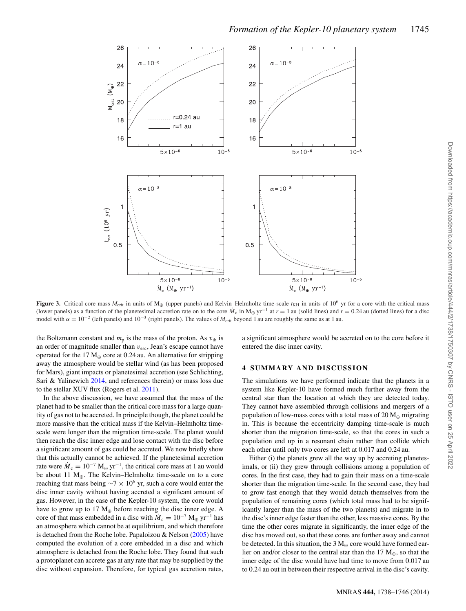

**Figure 3.** Critical core mass  $M_{\rm crit}$  in units of M<sub>⊕</sub> (upper panels) and Kelvin–Helmholtz time-scale  $t_{\rm KH}$  in units of 10<sup>6</sup> yr for a core with the critical mass (lower panels) as a function of the planetesimal accretion rate on to the core  $\dot{M}_c$  in  $M_{\oplus}$  yr<sup>-1</sup> at  $r = 1$  au (solid lines) and  $r = 0.24$  au (dotted lines) for a disc model with  $\alpha = 10^{-2}$  (left panels) and  $10^{-3}$  (right panels). The values of  $M_{\text{crit}}$  beyond 1 au are roughly the same as at 1 au.

the Boltzmann constant and  $m_p$  is the mass of the proton. As  $v_{\text{th}}$  is an order of magnitude smaller than  $v_{\text{esc}}$ , Jean's escape cannot have operated for the 17  $M$ <sub>⊕</sub> core at 0.24 au. An alternative for stripping away the atmosphere would be stellar wind (as has been proposed for Mars), giant impacts or planetesimal accretion (see Schlichting, Sari & Yalinewich 2014, and references therein) or mass loss due to the stellar XUV flux (Rogers et al. 2011).

In the above discussion, we have assumed that the mass of the planet had to be smaller than the critical core mass for a large quantity of gas not to be accreted. In principle though, the planet could be more massive than the critical mass if the Kelvin–Helmholtz timescale were longer than the migration time-scale. The planet would then reach the disc inner edge and lose contact with the disc before a significant amount of gas could be accreted. We now briefly show that this actually cannot be achieved. If the planetesimal accretion rate were  $\dot{M}_c = 10^{-7} M_{\oplus} yr^{-1}$ , the critical core mass at 1 au would be about 11  $M_{\oplus}$ . The Kelvin–Helmholtz time-scale on to a core reaching that mass being  $\sim$ 7 × 10<sup>6</sup> yr, such a core would enter the disc inner cavity without having accreted a significant amount of gas. However, in the case of the Kepler-10 system, the core would have to grow up to 17  $M_{\oplus}$  before reaching the disc inner edge. A core of that mass embedded in a disc with  $\dot{M}_c = 10^{-7} M_{\oplus} yr^{-1}$  has an atmosphere which cannot be at equilibrium, and which therefore is detached from the Roche lobe. Papaloizou & Nelson (2005) have computed the evolution of a core embedded in a disc and which atmosphere is detached from the Roche lobe. They found that such a protoplanet can accrete gas at any rate that may be supplied by the disc without expansion. Therefore, for typical gas accretion rates, a significant atmosphere would be accreted on to the core before it entered the disc inner cavity.

#### **4 SUMMARY AND DISCUSSION**

The simulations we have performed indicate that the planets in a system like Kepler-10 have formed much further away from the central star than the location at which they are detected today. They cannot have assembled through collisions and mergers of a population of low-mass cores with a total mass of 20  $M_{\oplus}$  migrating in. This is because the eccentricity damping time-scale is much shorter than the migration time-scale, so that the cores in such a population end up in a resonant chain rather than collide which each other until only two cores are left at 0.017 and 0.24 au.

Either (i) the planets grew all the way up by accreting planetesimals, or (ii) they grew through collisions among a population of cores. In the first case, they had to gain their mass on a time-scale shorter than the migration time-scale. In the second case, they had to grow fast enough that they would detach themselves from the population of remaining cores (which total mass had to be significantly larger than the mass of the two planets) and migrate in to the disc's inner edge faster than the other, less massive cores. By the time the other cores migrate in significantly, the inner edge of the disc has moved out, so that these cores are further away and cannot be detected. In this situation, the 3  $M_{\oplus}$  core would have formed earlier on and/or closer to the central star than the 17  $M_{\oplus}$ , so that the inner edge of the disc would have had time to move from 0.017 au to 0.24 au out in between their respective arrival in the disc's cavity.